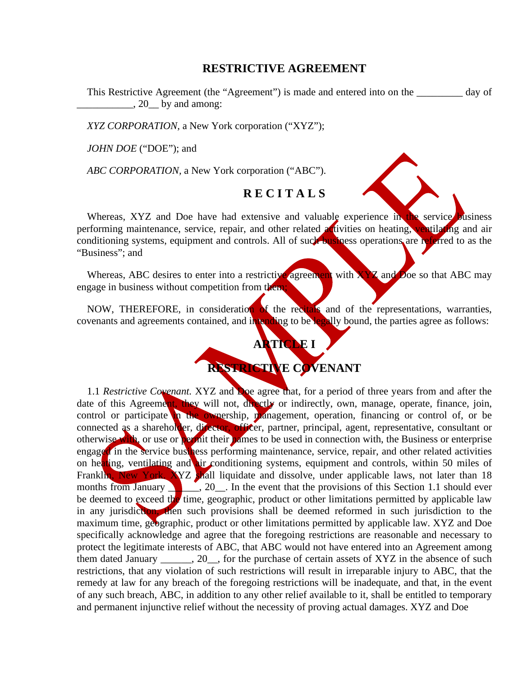## **RESTRICTIVE AGREEMENT**

This Restrictive Agreement (the "Agreement") is made and entered into on the \_\_\_\_\_\_\_\_\_ day of \_\_\_\_\_\_\_\_\_\_\_, 20\_\_ by and among:

*XYZ CORPORATION,* a New York corporation ("XYZ");

*JOHN DOE* ("DOE"); and

*ABC CORPORATION,* a New York corporation ("ABC").

## **R E C I T A L S**

Whereas, XYZ and Doe have had extensive and valuable experience in the service business performing maintenance, service, repair, and other related *activities* on heating, ventilating and air conditioning systems, equipment and controls. All of such business operations are referred to as the "Business"; and

Whereas, ABC desires to enter into a restrictive agreement with  $XYZ$  and Doe so that ABC may engage in business without competition from them;

NOW, THEREFORE, in consideration of the recitals and of the representations, warranties, covenants and agreements contained, and intending to be legally bound, the parties agree as follows:

## **ARTICLE I RESTRICTIVE COVENANT**

1.1 *Restrictive Covenant.* XYZ and Doe agree that, for a period of three years from and after the date of this Agreement, they will not, directly or indirectly, own, manage, operate, finance, join, control or participate in the ownership, management, operation, financing or control of, or be connected as a shareholder, director, officer, partner, principal, agent, representative, consultant or otherwise with, or use or permit their names to be used in connection with, the Business or enterprise engaged in the service business performing maintenance, service, repair, and other related activities on heating, ventilating and air conditioning systems, equipment and controls, within 50 miles of Franklin, New York. XYZ shall liquidate and dissolve, under applicable laws, not later than 18 months from January  $\frac{1}{\sqrt{2}}$ , 20  $\frac{1}{\sqrt{2}}$ . In the event that the provisions of this Section 1.1 should ever be deemed to exceed the time, geographic, product or other limitations permitted by applicable law in any jurisdiction, then such provisions shall be deemed reformed in such jurisdiction to the maximum time, geographic, product or other limitations permitted by applicable law. XYZ and Doe specifically acknowledge and agree that the foregoing restrictions are reasonable and necessary to protect the legitimate interests of ABC, that ABC would not have entered into an Agreement among them dated January \_\_\_\_\_\_, 20\_\_, for the purchase of certain assets of XYZ in the absence of such restrictions, that any violation of such restrictions will result in irreparable injury to ABC, that the remedy at law for any breach of the foregoing restrictions will be inadequate, and that, in the event of any such breach, ABC, in addition to any other relief available to it, shall be entitled to temporary and permanent injunctive relief without the necessity of proving actual damages. XYZ and Doe